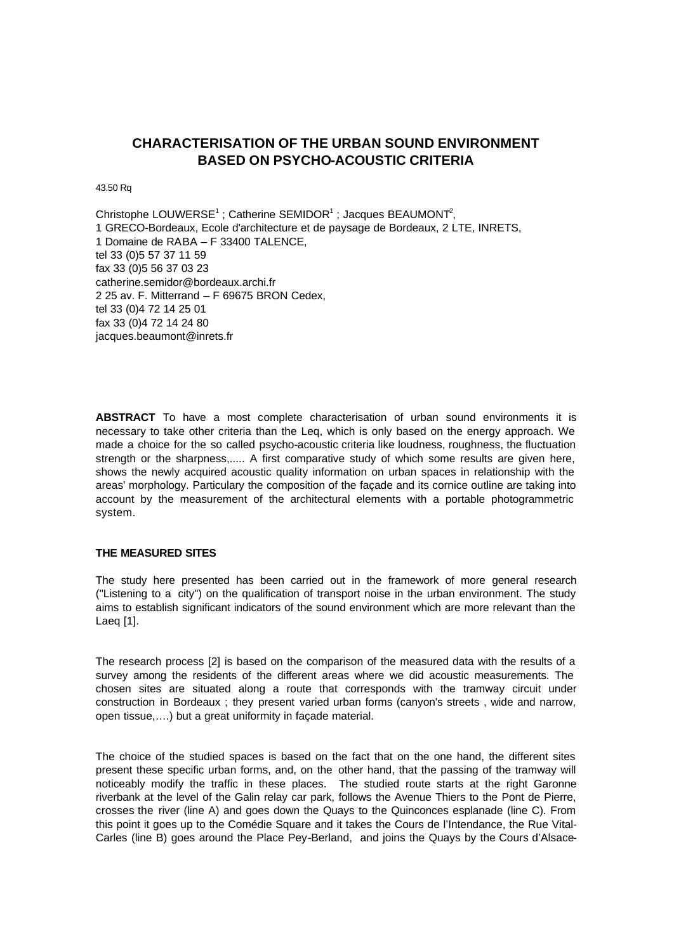# **CHARACTERISATION OF THE URBAN SOUND ENVIRONMENT BASED ON PSYCHO-ACOUSTIC CRITERIA**

43.50 Rq

Christophe LOUWERSE<sup>1</sup>; Catherine SEMIDOR<sup>1</sup>; Jacques BEAUMONT<sup>2</sup>, 1 GRECO-Bordeaux, Ecole d'architecture et de paysage de Bordeaux, 2 LTE, INRETS, 1 Domaine de RABA – F 33400 TALENCE, tel 33 (0)5 57 37 11 59 fax 33 (0)5 56 37 03 23 catherine.semidor@bordeaux.archi.fr 2 25 av. F. Mitterrand – F 69675 BRON Cedex, tel 33 (0)4 72 14 25 01 fax 33 (0)4 72 14 24 80 jacques.beaumont@inrets.fr

**ABSTRACT** To have a most complete characterisation of urban sound environments it is necessary to take other criteria than the Leq, which is only based on the energy approach. We made a choice for the so called psycho-acoustic criteria like loudness, roughness, the fluctuation strength or the sharpness,..... A first comparative study of which some results are given here, shows the newly acquired acoustic quality information on urban spaces in relationship with the areas' morphology. Particulary the composition of the façade and its cornice outline are taking into account by the measurement of the architectural elements with a portable photogrammetric system.

## **THE MEASURED SITES**

The study here presented has been carried out in the framework of more general research ("Listening to a city") on the qualification of transport noise in the urban environment. The study aims to establish significant indicators of the sound environment which are more relevant than the Laeq [1].

The research process [2] is based on the comparison of the measured data with the results of a survey among the residents of the different areas where we did acoustic measurements. The chosen sites are situated along a route that corresponds with the tramway circuit under construction in Bordeaux ; they present varied urban forms (canyon's streets , wide and narrow, open tissue,….) but a great uniformity in façade material.

The choice of the studied spaces is based on the fact that on the one hand, the different sites present these specific urban forms, and, on the other hand, that the passing of the tramway will noticeably modify the traffic in these places. The studied route starts at the right Garonne riverbank at the level of the Galin relay car park, follows the Avenue Thiers to the Pont de Pierre, crosses the river (line A) and goes down the Quays to the Quinconces esplanade (line C). From this point it goes up to the Comédie Square and it takes the Cours de l'Intendance, the Rue Vital-Carles (line B) goes around the Place Pey-Berland, and joins the Quays by the Cours d'Alsace-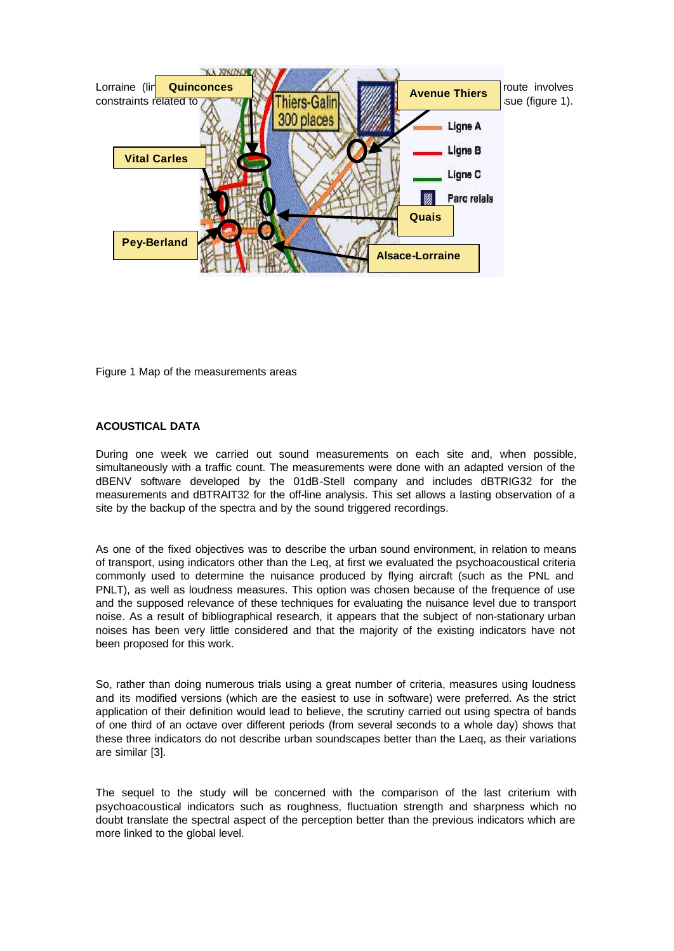

Figure 1 Map of the measurements areas

# **ACOUSTICAL DATA**

During one week we carried out sound measurements on each site and, when possible, simultaneously with a traffic count. The measurements were done with an adapted version of the dBENV software developed by the 01dB-Stell company and includes dBTRIG32 for the measurements and dBTRAIT32 for the off-line analysis. This set allows a lasting observation of a site by the backup of the spectra and by the sound triggered recordings.

As one of the fixed objectives was to describe the urban sound environment, in relation to means of transport, using indicators other than the Leq, at first we evaluated the psychoacoustical criteria commonly used to determine the nuisance produced by flying aircraft (such as the PNL and PNLT), as well as loudness measures. This option was chosen because of the frequence of use and the supposed relevance of these techniques for evaluating the nuisance level due to transport noise. As a result of bibliographical research, it appears that the subject of non-stationary urban noises has been very little considered and that the majority of the existing indicators have not been proposed for this work.

So, rather than doing numerous trials using a great number of criteria, measures using loudness and its modified versions (which are the easiest to use in software) were preferred. As the strict application of their definition would lead to believe, the scrutiny carried out using spectra of bands of one third of an octave over different periods (from several seconds to a whole day) shows that these three indicators do not describe urban soundscapes better than the Laeq, as their variations are similar [3].

The sequel to the study will be concerned with the comparison of the last criterium with psychoacoustical indicators such as roughness, fluctuation strength and sharpness which no doubt translate the spectral aspect of the perception better than the previous indicators which are more linked to the global level.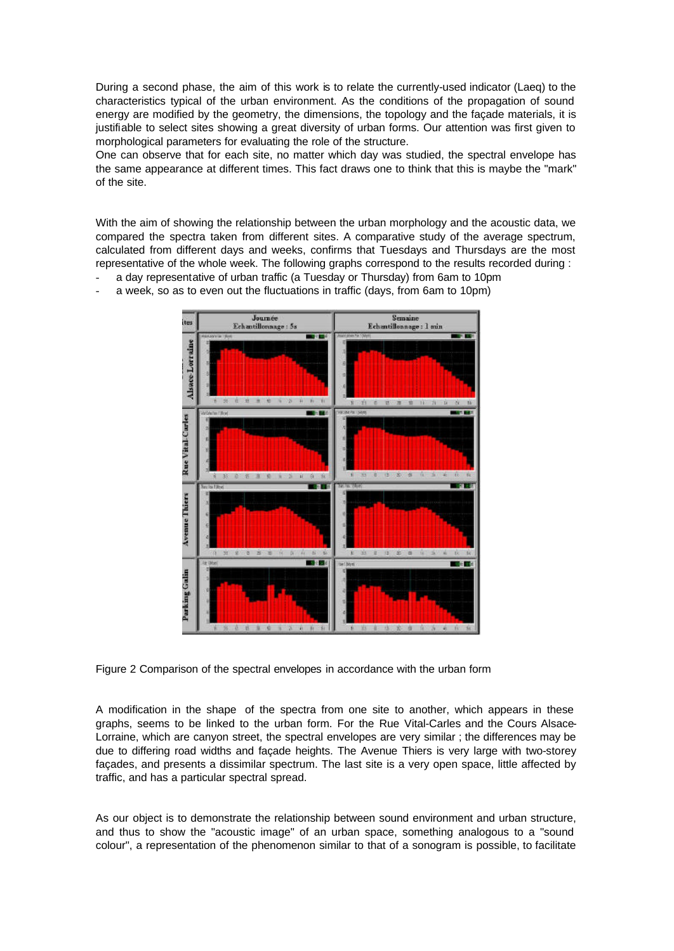During a second phase, the aim of this work is to relate the currently-used indicator (Laeq) to the characteristics typical of the urban environment. As the conditions of the propagation of sound energy are modified by the geometry, the dimensions, the topology and the façade materials, it is justifiable to select sites showing a great diversity of urban forms. Our attention was first given to morphological parameters for evaluating the role of the structure.

One can observe that for each site, no matter which day was studied, the spectral envelope has the same appearance at different times. This fact draws one to think that this is maybe the "mark" of the site.

With the aim of showing the relationship between the urban morphology and the acoustic data, we compared the spectra taken from different sites. A comparative study of the average spectrum, calculated from different days and weeks, confirms that Tuesdays and Thursdays are the most representative of the whole week. The following graphs correspond to the results recorded during :

a day representative of urban traffic (a Tuesday or Thursday) from 6am to 10pm a week, so as to even out the fluctuations in traffic (days, from 6am to 10pm)



Figure 2 Comparison of the spectral envelopes in accordance with the urban form

A modification in the shape of the spectra from one site to another, which appears in these graphs, seems to be linked to the urban form. For the Rue Vital-Carles and the Cours Alsace-Lorraine, which are canyon street, the spectral envelopes are very similar ; the differences may be due to differing road widths and façade heights. The Avenue Thiers is very large with two-storey façades, and presents a dissimilar spectrum. The last site is a very open space, little affected by traffic, and has a particular spectral spread.

As our object is to demonstrate the relationship between sound environment and urban structure, and thus to show the "acoustic image" of an urban space, something analogous to a "sound colour", a representation of the phenomenon similar to that of a sonogram is possible, to facilitate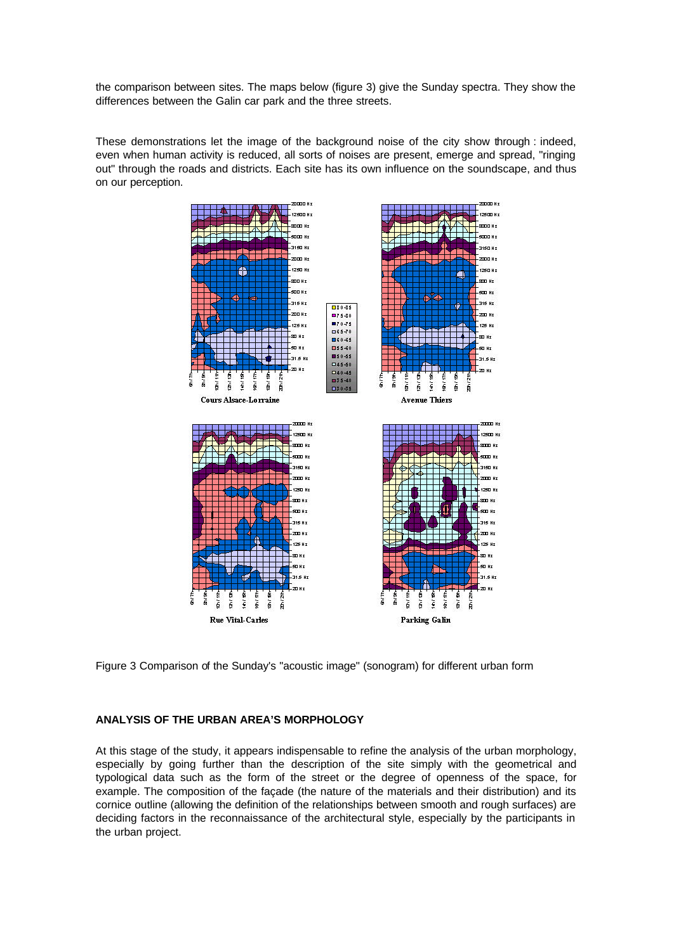the comparison between sites. The maps below (figure 3) give the Sunday spectra. They show the differences between the Galin car park and the three streets.

These demonstrations let the image of the background noise of the city show through : indeed, even when human activity is reduced, all sorts of noises are present, emerge and spread, "ringing out" through the roads and districts. Each site has its own influence on the soundscape, and thus on our perception.



Figure 3 Comparison of the Sunday's "acoustic image" (sonogram) for different urban form

### **ANALYSIS OF THE URBAN AREA'S MORPHOLOGY**

At this stage of the study, it appears indispensable to refine the analysis of the urban morphology, especially by going further than the description of the site simply with the geometrical and typological data such as the form of the street or the degree of openness of the space, for example. The composition of the façade (the nature of the materials and their distribution) and its cornice outline (allowing the definition of the relationships between smooth and rough surfaces) are deciding factors in the reconnaissance of the architectural style, especially by the participants in the urban project.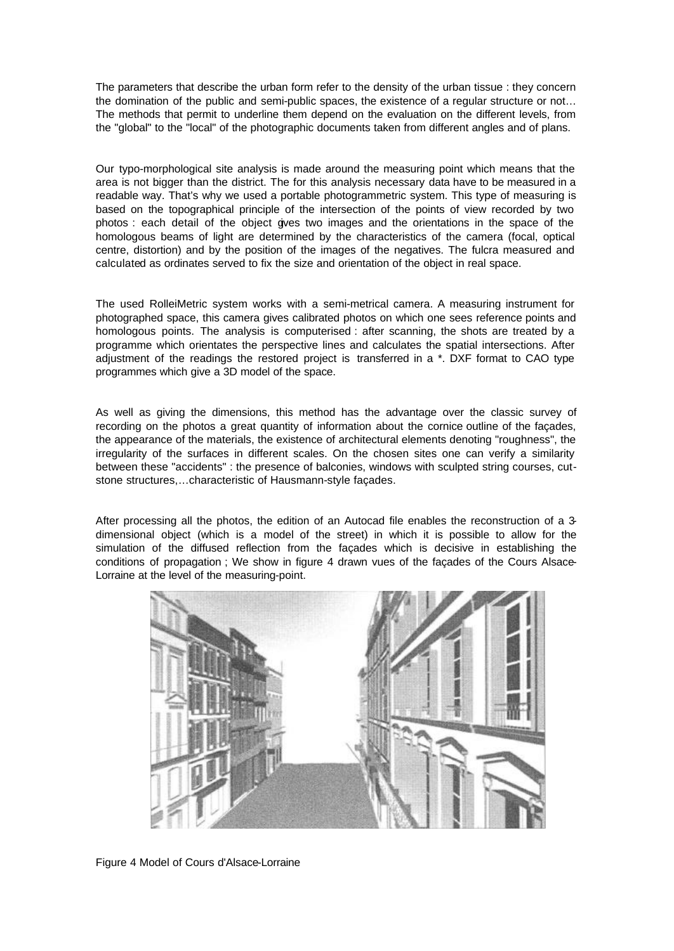The parameters that describe the urban form refer to the density of the urban tissue : they concern the domination of the public and semi-public spaces, the existence of a regular structure or not… The methods that permit to underline them depend on the evaluation on the different levels, from the "global" to the "local" of the photographic documents taken from different angles and of plans.

Our typo-morphological site analysis is made around the measuring point which means that the area is not bigger than the district. The for this analysis necessary data have to be measured in a readable way. That's why we used a portable photogrammetric system. This type of measuring is based on the topographical principle of the intersection of the points of view recorded by two photos : each detail of the object gives two images and the orientations in the space of the homologous beams of light are determined by the characteristics of the camera (focal, optical centre, distortion) and by the position of the images of the negatives. The fulcra measured and calculated as ordinates served to fix the size and orientation of the object in real space.

The used RolleiMetric system works with a semi-metrical camera. A measuring instrument for photographed space, this camera gives calibrated photos on which one sees reference points and homologous points. The analysis is computerised : after scanning, the shots are treated by a programme which orientates the perspective lines and calculates the spatial intersections. After adjustment of the readings the restored project is transferred in a \*. DXF format to CAO type programmes which give a 3D model of the space.

As well as giving the dimensions, this method has the advantage over the classic survey of recording on the photos a great quantity of information about the cornice outline of the façades, the appearance of the materials, the existence of architectural elements denoting "roughness", the irregularity of the surfaces in different scales. On the chosen sites one can verify a similarity between these "accidents" : the presence of balconies, windows with sculpted string courses, cutstone structures,…characteristic of Hausmann-style façades.

After processing all the photos, the edition of an Autocad file enables the reconstruction of a 3dimensional object (which is a model of the street) in which it is possible to allow for the simulation of the diffused reflection from the façades which is decisive in establishing the conditions of propagation ; We show in figure 4 drawn vues of the façades of the Cours Alsace-Lorraine at the level of the measuring-point.



Figure 4 Model of Cours d'Alsace-Lorraine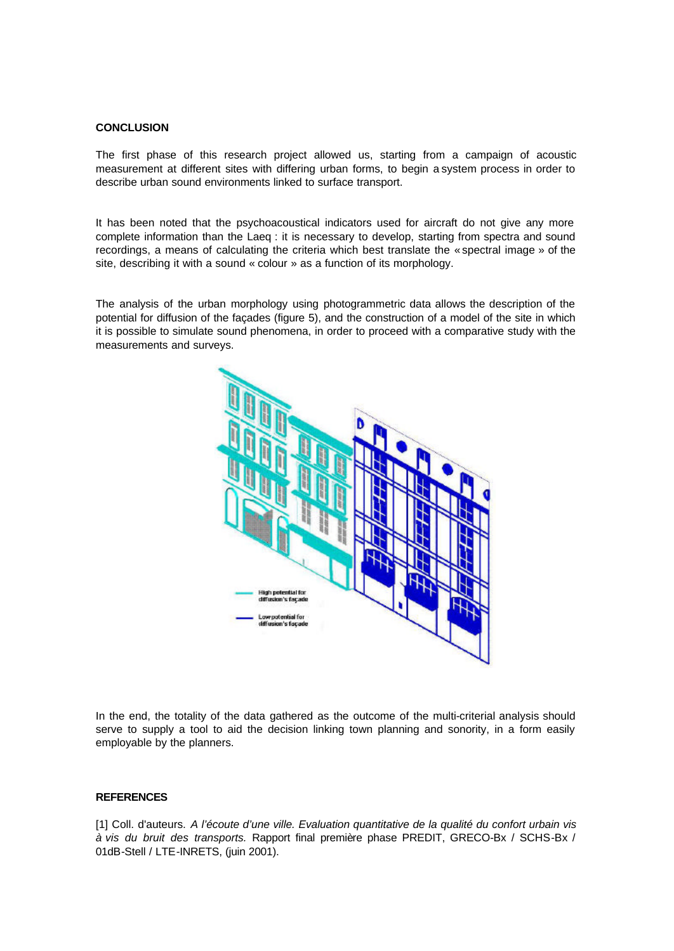#### **CONCLUSION**

The first phase of this research project allowed us, starting from a campaign of acoustic measurement at different sites with differing urban forms, to begin a system process in order to describe urban sound environments linked to surface transport.

It has been noted that the psychoacoustical indicators used for aircraft do not give any more complete information than the Laeq : it is necessary to develop, starting from spectra and sound recordings, a means of calculating the criteria which best translate the « spectral image » of the site, describing it with a sound « colour » as a function of its morphology.

The analysis of the urban morphology using photogrammetric data allows the description of the potential for diffusion of the façades (figure 5), and the construction of a model of the site in which it is possible to simulate sound phenomena, in order to proceed with a comparative study with the measurements and surveys.



In the end, the totality of the data gathered as the outcome of the multi-criterial analysis should serve to supply a tool to aid the decision linking town planning and sonority, in a form easily employable by the planners.

# **REFERENCES**

[1] Coll. d'auteurs. *A l'écoute d'une ville. Evaluation quantitative de la qualité du confort urbain vis à vis du bruit des transports.* Rapport final première phase PREDIT, GRECO-Bx / SCHS-Bx / 01dB-Stell / LTE-INRETS, (juin 2001).